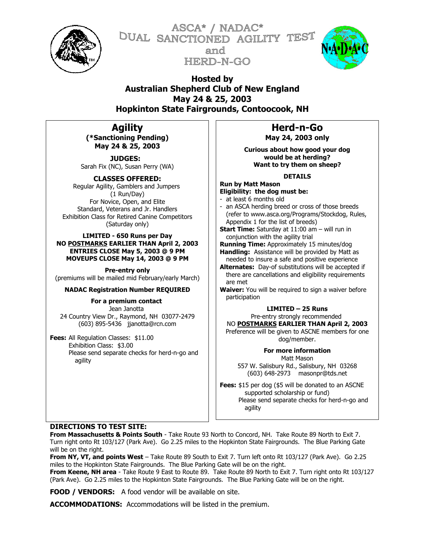

ASCA\* / NADAC\* DUAL SANCTIONED AGILITY TEST and HERD-N-GO



**Hosted by Australian Shepherd Club of New England May 24 & 25, 2003 Hopkinton State Fairgrounds, Contoocook, NH**

# **Agility**

**(\*Sanctioning Pending) May 24 & 25, 2003**

**JUDGES:**  Sarah Fix (NC), Susan Perry (WA)

**CLASSES OFFERED:** Regular Agility, Gamblers and Jumpers (1 Run/Day) For Novice, Open, and Elite Standard, Veterans and Jr. Handlers Exhibition Class for Retired Canine Competitors (Saturday only)

## **LIMITED - 650 Runs per Day NO POSTMARKS EARLIER THAN April 2, 2003 ENTRIES CLOSE May 5, 2003 @ 9 PM MOVEUPS CLOSE May 14, 2003 @ 9 PM**

**Pre-entry only** (premiums will be mailed mid February/early March)

# **NADAC Registration Number REQUIRED**

**For a premium contact**  Jean Janotta 24 Country View Dr., Raymond, NH 03077-2479 (603) 895-5436 [jjanotta@rcn.com](mailto:jjanotta@nh.ultranet.com)

**Fees:** All Regulation Classes: \$11.00 Exhibition Class: \$3.00 Please send separate checks for herd-n-go and agility

**Herd-n-Go May 24, 2003 only**

**Curious about how good your dog would be at herding? Want to try them on sheep?**

# **DETAILS**

**Run by Matt Mason Eligibility: the dog must be:** - at least 6 months old

- an ASCA herding breed or cross of those breeds (refer to www.asca.org/Programs/Stockdog, Rules, Appendix 1 for the list of breeds)
- **Start Time:** Saturday at 11:00 am will run in conjunction with the agility trial
- **Running Time:** Approximately 15 minutes/dog **Handling:** Assistance will be provided by Matt as needed to insure a safe and positive experience
- **Alternates:** Day-of substitutions will be accepted if there are cancellations and eligibility requirements are met
- **Waiver:** You will be required to sign a waiver before participation

# **LIMITED – 25 Runs**

Pre-entry strongly recommended

NO **POSTMARKS EARLIER THAN April 2, 2003** Preference will be given to ASCNE members for one

dog/member.

**For more information** Matt Mason

557 W. Salisbury Rd., Salisbury, NH 03268 (603) 648-2973 masonpr@tds.net

**Fees:** \$15 per dog (\$5 will be donated to an ASCNE supported scholarship or fund) Please send separate checks for herd-n-go and agility

# **DIRECTIONS TO TEST SITE:**

**From Massachusetts & Points South** - Take Route 93 North to Concord, NH. Take Route 89 North to Exit 7. Turn right onto Rt 103/127 (Park Ave). Go 2.25 miles to the Hopkinton State Fairgrounds. The Blue Parking Gate will be on the right.

**From NY, VT, and points West** – Take Route 89 South to Exit 7. Turn left onto Rt 103/127 (Park Ave). Go 2.25 miles to the Hopkinton State Fairgrounds. The Blue Parking Gate will be on the right.

**From Keene, NH area** - Take Route 9 East to Route 89. Take Route 89 North to Exit 7. Turn right onto Rt 103/127 (Park Ave). Go 2.25 miles to the Hopkinton State Fairgrounds. The Blue Parking Gate will be on the right.

**FOOD / VENDORS:** A food vendor will be available on site.

**ACCOMMODATIONS:** Accommodations will be listed in the premium.